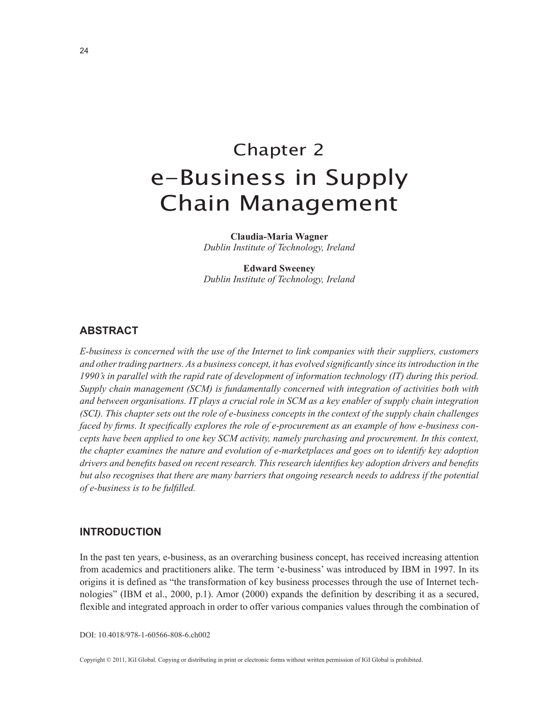24

# Chapter 2 e-Business in Supply Chain Management

**Claudia-Maria Wagner** *Dublin Institute of Technology, Ireland*

**Edward Sweeney** *Dublin Institute of Technology, Ireland*

## **ABSTRACT**

*E-business is concerned with the use of the Internet to link companies with their suppliers, customers and other trading partners. As a business concept, it has evolved significantly since its introduction in the 1990's in parallel with the rapid rate of development of information technology (IT) during this period. Supply chain management (SCM) is fundamentally concerned with integration of activities both with and between organisations. IT plays a crucial role in SCM as a key enabler of supply chain integration (SCI). This chapter sets out the role of e-business concepts in the context of the supply chain challenges faced by firms. It specifically explores the role of e-procurement as an example of how e-business concepts have been applied to one key SCM activity, namely purchasing and procurement. In this context, the chapter examines the nature and evolution of e-marketplaces and goes on to identify key adoption drivers and benefits based on recent research. This research identifies key adoption drivers and benefits but also recognises that there are many barriers that ongoing research needs to address if the potential of e-business is to be fulfilled.*

#### **INTRODUCTION**

In the past ten years, e-business, as an overarching business concept, has received increasing attention from academics and practitioners alike. The term 'e-business' was introduced by IBM in 1997. In its origins it is defined as "the transformation of key business processes through the use of Internet technologies" (IBM et al., 2000, p.1). Amor (2000) expands the definition by describing it as a secured, flexible and integrated approach in order to offer various companies values through the combination of

DOI: 10.4018/978-1-60566-808-6.ch002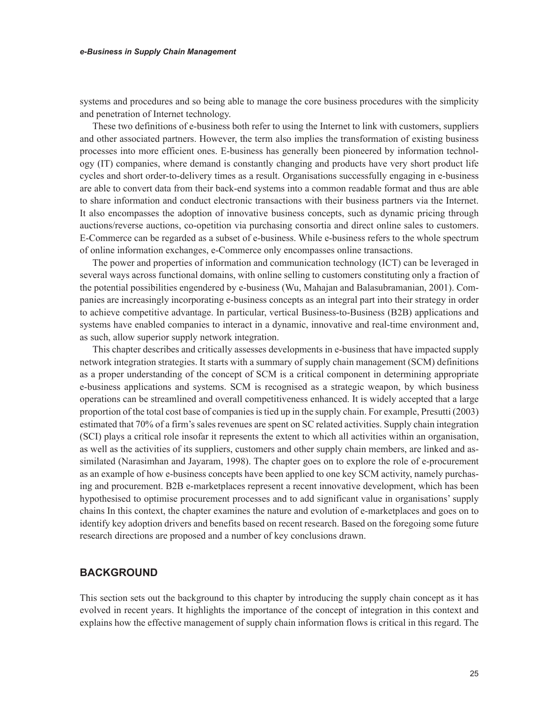systems and procedures and so being able to manage the core business procedures with the simplicity and penetration of Internet technology.

These two definitions of e-business both refer to using the Internet to link with customers, suppliers and other associated partners. However, the term also implies the transformation of existing business processes into more efficient ones. E-business has generally been pioneered by information technology (IT) companies, where demand is constantly changing and products have very short product life cycles and short order-to-delivery times as a result. Organisations successfully engaging in e-business are able to convert data from their back-end systems into a common readable format and thus are able to share information and conduct electronic transactions with their business partners via the Internet. It also encompasses the adoption of innovative business concepts, such as dynamic pricing through auctions/reverse auctions, co-opetition via purchasing consortia and direct online sales to customers. E-Commerce can be regarded as a subset of e-business. While e-business refers to the whole spectrum of online information exchanges, e-Commerce only encompasses online transactions.

The power and properties of information and communication technology (ICT) can be leveraged in several ways across functional domains, with online selling to customers constituting only a fraction of the potential possibilities engendered by e-business (Wu, Mahajan and Balasubramanian, 2001). Companies are increasingly incorporating e-business concepts as an integral part into their strategy in order to achieve competitive advantage. In particular, vertical Business-to-Business (B2B) applications and systems have enabled companies to interact in a dynamic, innovative and real-time environment and, as such, allow superior supply network integration.

This chapter describes and critically assesses developments in e-business that have impacted supply network integration strategies. It starts with a summary of supply chain management (SCM) definitions as a proper understanding of the concept of SCM is a critical component in determining appropriate e-business applications and systems. SCM is recognised as a strategic weapon, by which business operations can be streamlined and overall competitiveness enhanced. It is widely accepted that a large proportion of the total cost base of companies is tied up in the supply chain. For example, Presutti (2003) estimated that 70% of a firm's sales revenues are spent on SC related activities. Supply chain integration (SCI) plays a critical role insofar it represents the extent to which all activities within an organisation, as well as the activities of its suppliers, customers and other supply chain members, are linked and assimilated (Narasimhan and Jayaram, 1998). The chapter goes on to explore the role of e-procurement as an example of how e-business concepts have been applied to one key SCM activity, namely purchasing and procurement. B2B e-marketplaces represent a recent innovative development, which has been hypothesised to optimise procurement processes and to add significant value in organisations' supply chains In this context, the chapter examines the nature and evolution of e-marketplaces and goes on to identify key adoption drivers and benefits based on recent research. Based on the foregoing some future research directions are proposed and a number of key conclusions drawn.

## **BACKGROUND**

This section sets out the background to this chapter by introducing the supply chain concept as it has evolved in recent years. It highlights the importance of the concept of integration in this context and explains how the effective management of supply chain information flows is critical in this regard. The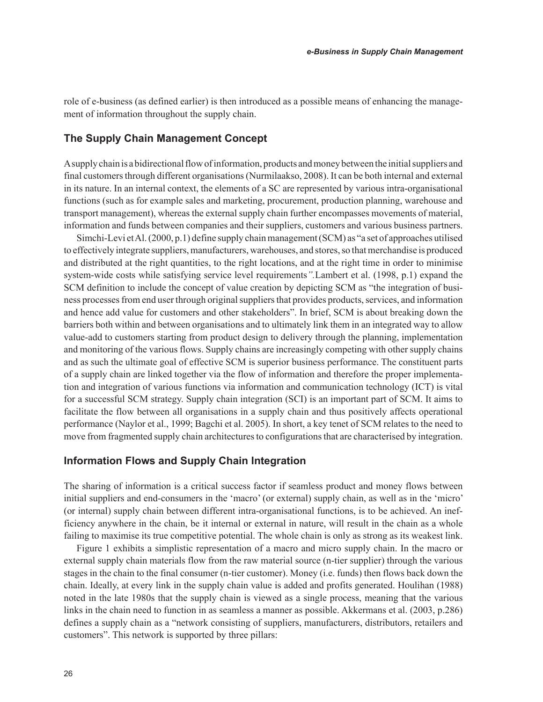role of e-business (as defined earlier) is then introduced as a possible means of enhancing the management of information throughout the supply chain.

### **The Supply Chain Management Concept**

A supply chain is a bidirectional flow of information, products and money between the initial suppliers and final customers through different organisations (Nurmilaakso, 2008). It can be both internal and external in its nature. In an internal context, the elements of a SC are represented by various intra-organisational functions (such as for example sales and marketing, procurement, production planning, warehouse and transport management), whereas the external supply chain further encompasses movements of material, information and funds between companies and their suppliers, customers and various business partners.

Simchi-Levi et Al. (2000, p.1) define supply chain management (SCM) as "a set of approaches utilised to effectively integrate suppliers, manufacturers, warehouses, and stores, so that merchandise is produced and distributed at the right quantities, to the right locations, and at the right time in order to minimise system-wide costs while satisfying service level requirements*".*Lambert et al. (1998, p.1) expand the SCM definition to include the concept of value creation by depicting SCM as "the integration of business processes from end user through original suppliers that provides products, services, and information and hence add value for customers and other stakeholders". In brief, SCM is about breaking down the barriers both within and between organisations and to ultimately link them in an integrated way to allow value-add to customers starting from product design to delivery through the planning, implementation and monitoring of the various flows. Supply chains are increasingly competing with other supply chains and as such the ultimate goal of effective SCM is superior business performance. The constituent parts of a supply chain are linked together via the flow of information and therefore the proper implementation and integration of various functions via information and communication technology (ICT) is vital for a successful SCM strategy. Supply chain integration (SCI) is an important part of SCM. It aims to facilitate the flow between all organisations in a supply chain and thus positively affects operational performance (Naylor et al., 1999; Bagchi et al. 2005). In short, a key tenet of SCM relates to the need to move from fragmented supply chain architectures to configurations that are characterised by integration.

#### **Information Flows and Supply Chain Integration**

The sharing of information is a critical success factor if seamless product and money flows between initial suppliers and end-consumers in the 'macro' (or external) supply chain, as well as in the 'micro' (or internal) supply chain between different intra-organisational functions, is to be achieved. An inefficiency anywhere in the chain, be it internal or external in nature, will result in the chain as a whole failing to maximise its true competitive potential. The whole chain is only as strong as its weakest link.

Figure 1 exhibits a simplistic representation of a macro and micro supply chain. In the macro or external supply chain materials flow from the raw material source (n-tier supplier) through the various stages in the chain to the final consumer (n-tier customer). Money (i.e. funds) then flows back down the chain. Ideally, at every link in the supply chain value is added and profits generated. Houlihan (1988) noted in the late 1980s that the supply chain is viewed as a single process, meaning that the various links in the chain need to function in as seamless a manner as possible. Akkermans et al. (2003, p.286) defines a supply chain as a "network consisting of suppliers, manufacturers, distributors, retailers and customers". This network is supported by three pillars: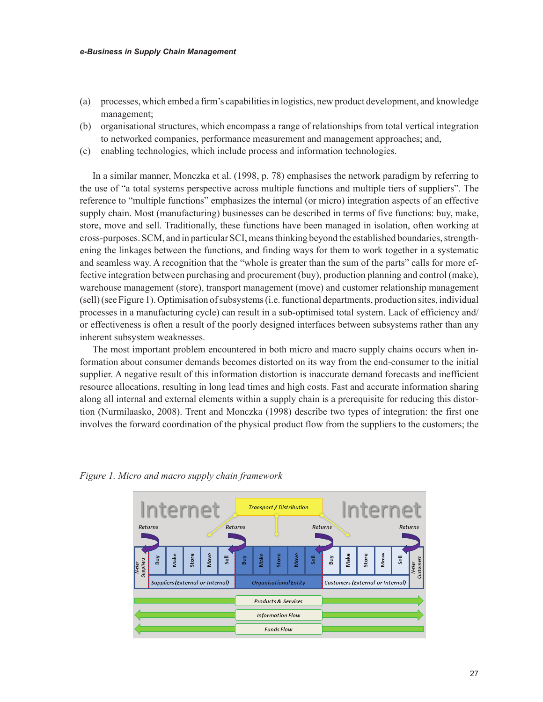#### *e-Business in Supply Chain Management*

- (a) processes, which embed a firm's capabilities in logistics, new product development, and knowledge management;
- (b) organisational structures, which encompass a range of relationships from total vertical integration to networked companies, performance measurement and management approaches; and,
- (c) enabling technologies, which include process and information technologies.

In a similar manner, Monczka et al. (1998, p. 78) emphasises the network paradigm by referring to the use of "a total systems perspective across multiple functions and multiple tiers of suppliers". The reference to "multiple functions" emphasizes the internal (or micro) integration aspects of an effective supply chain. Most (manufacturing) businesses can be described in terms of five functions: buy, make, store, move and sell. Traditionally, these functions have been managed in isolation, often working at cross-purposes. SCM, and in particular SCI, means thinking beyond the established boundaries, strengthening the linkages between the functions, and finding ways for them to work together in a systematic and seamless way. A recognition that the "whole is greater than the sum of the parts" calls for more effective integration between purchasing and procurement (buy), production planning and control (make), warehouse management (store), transport management (move) and customer relationship management (sell) (see Figure 1). Optimisation of subsystems (i.e. functional departments, production sites, individual processes in a manufacturing cycle) can result in a sub-optimised total system. Lack of efficiency and/ or effectiveness is often a result of the poorly designed interfaces between subsystems rather than any inherent subsystem weaknesses.

The most important problem encountered in both micro and macro supply chains occurs when information about consumer demands becomes distorted on its way from the end-consumer to the initial supplier. A negative result of this information distortion is inaccurate demand forecasts and inefficient resource allocations, resulting in long lead times and high costs. Fast and accurate information sharing along all internal and external elements within a supply chain is a prerequisite for reducing this distortion (Nurmilaasko, 2008). Trent and Monczka (1998) describe two types of integration: the first one involves the forward coordination of the physical product flow from the suppliers to the customers; the



*Figure 1. Micro and macro supply chain framework*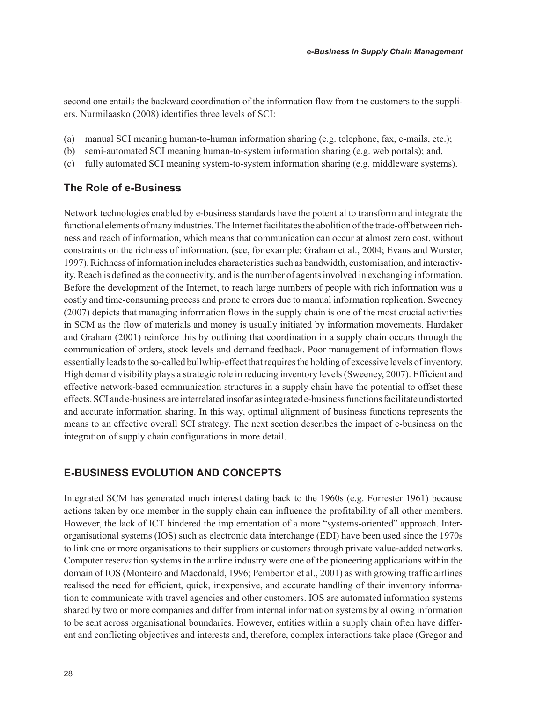second one entails the backward coordination of the information flow from the customers to the suppliers. Nurmilaasko (2008) identifies three levels of SCI:

- (a) manual SCI meaning human-to-human information sharing (e.g. telephone, fax, e-mails, etc.);
- (b) semi-automated SCI meaning human-to-system information sharing (e.g. web portals); and,
- (c) fully automated SCI meaning system-to-system information sharing (e.g. middleware systems).

## **The Role of e-Business**

Network technologies enabled by e-business standards have the potential to transform and integrate the functional elements of many industries. The Internet facilitates the abolition of the trade-off between richness and reach of information, which means that communication can occur at almost zero cost, without constraints on the richness of information. (see, for example: Graham et al., 2004; Evans and Wurster, 1997). Richness of information includes characteristics such as bandwidth, customisation, and interactivity. Reach is defined as the connectivity, and is the number of agents involved in exchanging information. Before the development of the Internet, to reach large numbers of people with rich information was a costly and time-consuming process and prone to errors due to manual information replication. Sweeney (2007) depicts that managing information flows in the supply chain is one of the most crucial activities in SCM as the flow of materials and money is usually initiated by information movements. Hardaker and Graham (2001) reinforce this by outlining that coordination in a supply chain occurs through the communication of orders, stock levels and demand feedback. Poor management of information flows essentially leads to the so-called bullwhip-effect that requires the holding of excessive levels of inventory. High demand visibility plays a strategic role in reducing inventory levels (Sweeney, 2007). Efficient and effective network-based communication structures in a supply chain have the potential to offset these effects. SCI and e-business are interrelated insofar as integrated e-business functions facilitate undistorted and accurate information sharing. In this way, optimal alignment of business functions represents the means to an effective overall SCI strategy. The next section describes the impact of e-business on the integration of supply chain configurations in more detail.

## **E-business Evolution and Concepts**

Integrated SCM has generated much interest dating back to the 1960s (e.g. Forrester 1961) because actions taken by one member in the supply chain can influence the profitability of all other members. However, the lack of ICT hindered the implementation of a more "systems-oriented" approach. Interorganisational systems (IOS) such as electronic data interchange (EDI) have been used since the 1970s to link one or more organisations to their suppliers or customers through private value-added networks. Computer reservation systems in the airline industry were one of the pioneering applications within the domain of IOS (Monteiro and Macdonald, 1996; Pemberton et al., 2001) as with growing traffic airlines realised the need for efficient, quick, inexpensive, and accurate handling of their inventory information to communicate with travel agencies and other customers. IOS are automated information systems shared by two or more companies and differ from internal information systems by allowing information to be sent across organisational boundaries. However, entities within a supply chain often have different and conflicting objectives and interests and, therefore, complex interactions take place (Gregor and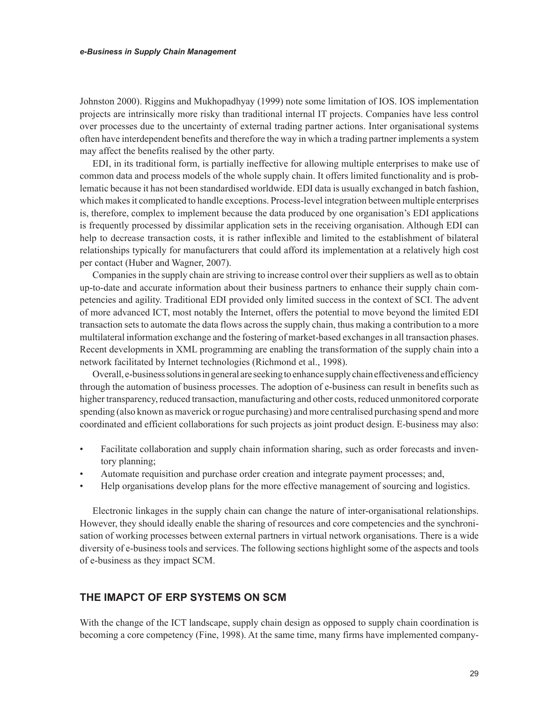Johnston 2000). Riggins and Mukhopadhyay (1999) note some limitation of IOS. IOS implementation projects are intrinsically more risky than traditional internal IT projects. Companies have less control over processes due to the uncertainty of external trading partner actions. Inter organisational systems often have interdependent benefits and therefore the way in which a trading partner implements a system may affect the benefits realised by the other party.

EDI, in its traditional form, is partially ineffective for allowing multiple enterprises to make use of common data and process models of the whole supply chain. It offers limited functionality and is problematic because it has not been standardised worldwide. EDI data is usually exchanged in batch fashion, which makes it complicated to handle exceptions. Process-level integration between multiple enterprises is, therefore, complex to implement because the data produced by one organisation's EDI applications is frequently processed by dissimilar application sets in the receiving organisation. Although EDI can help to decrease transaction costs, it is rather inflexible and limited to the establishment of bilateral relationships typically for manufacturers that could afford its implementation at a relatively high cost per contact (Huber and Wagner, 2007).

Companies in the supply chain are striving to increase control over their suppliers as well as to obtain up-to-date and accurate information about their business partners to enhance their supply chain competencies and agility. Traditional EDI provided only limited success in the context of SCI. The advent of more advanced ICT, most notably the Internet, offers the potential to move beyond the limited EDI transaction sets to automate the data flows across the supply chain, thus making a contribution to a more multilateral information exchange and the fostering of market-based exchanges in all transaction phases. Recent developments in XML programming are enabling the transformation of the supply chain into a network facilitated by Internet technologies (Richmond et al., 1998).

Overall, e-business solutions in general are seeking to enhance supply chain effectiveness and efficiency through the automation of business processes. The adoption of e-business can result in benefits such as higher transparency, reduced transaction, manufacturing and other costs, reduced unmonitored corporate spending (also known as maverick or rogue purchasing) and more centralised purchasing spend and more coordinated and efficient collaborations for such projects as joint product design. E-business may also:

- Facilitate collaboration and supply chain information sharing, such as order forecasts and inventory planning;
- Automate requisition and purchase order creation and integrate payment processes; and,
- Help organisations develop plans for the more effective management of sourcing and logistics.

Electronic linkages in the supply chain can change the nature of inter-organisational relationships. However, they should ideally enable the sharing of resources and core competencies and the synchronisation of working processes between external partners in virtual network organisations. There is a wide diversity of e-business tools and services. The following sections highlight some of the aspects and tools of e-business as they impact SCM.

## **THE IMAPCT OF ERP SYSTEMS ON SCM**

With the change of the ICT landscape, supply chain design as opposed to supply chain coordination is becoming a core competency (Fine, 1998). At the same time, many firms have implemented company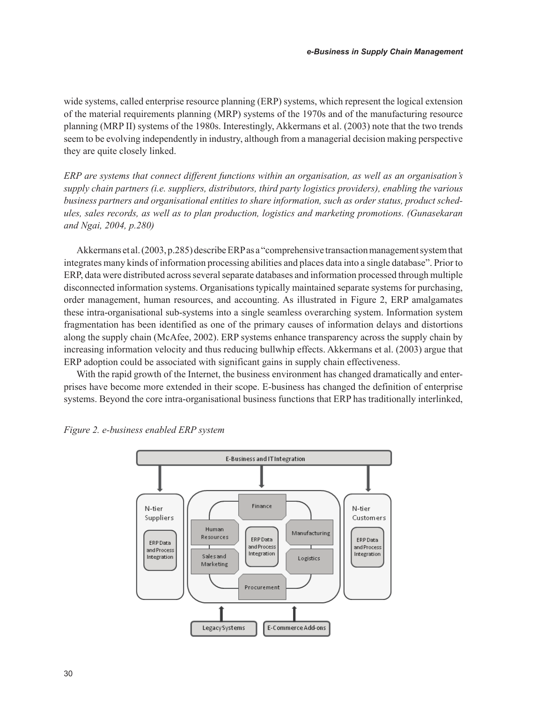wide systems, called enterprise resource planning (ERP) systems, which represent the logical extension of the material requirements planning (MRP) systems of the 1970s and of the manufacturing resource planning (MRP II) systems of the 1980s. Interestingly, Akkermans et al. (2003) note that the two trends seem to be evolving independently in industry, although from a managerial decision making perspective they are quite closely linked.

*ERP are systems that connect different functions within an organisation, as well as an organisation's supply chain partners (i.e. suppliers, distributors, third party logistics providers), enabling the various business partners and organisational entities to share information, such as order status, product schedules, sales records, as well as to plan production, logistics and marketing promotions. (Gunasekaran and Ngai, 2004, p.280)*

Akkermans et al. (2003, p.285) describe ERP as a "comprehensive transaction management system that integrates many kinds of information processing abilities and places data into a single database". Prior to ERP, data were distributed across several separate databases and information processed through multiple disconnected information systems. Organisations typically maintained separate systems for purchasing, order management, human resources, and accounting. As illustrated in Figure 2, ERP amalgamates these intra-organisational sub-systems into a single seamless overarching system. Information system fragmentation has been identified as one of the primary causes of information delays and distortions along the supply chain (McAfee, 2002). ERP systems enhance transparency across the supply chain by increasing information velocity and thus reducing bullwhip effects. Akkermans et al. (2003) argue that ERP adoption could be associated with significant gains in supply chain effectiveness.

With the rapid growth of the Internet, the business environment has changed dramatically and enterprises have become more extended in their scope. E-business has changed the definition of enterprise systems. Beyond the core intra-organisational business functions that ERP has traditionally interlinked,



*Figure 2. e-business enabled ERP system*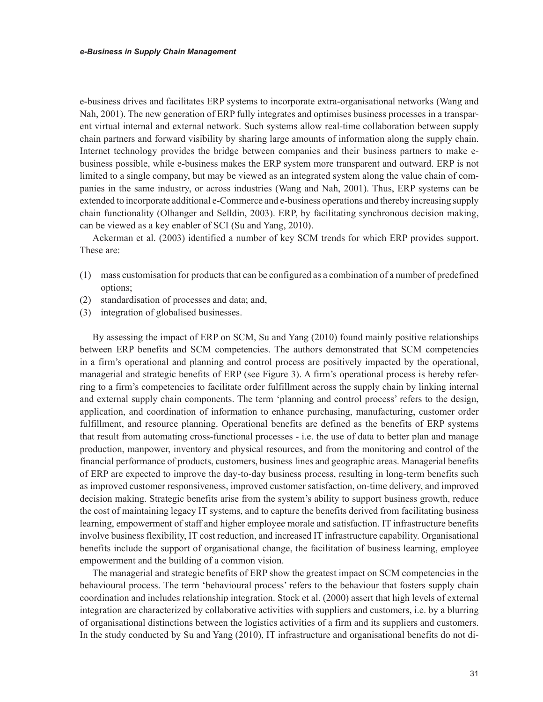e-business drives and facilitates ERP systems to incorporate extra-organisational networks (Wang and Nah, 2001). The new generation of ERP fully integrates and optimises business processes in a transparent virtual internal and external network. Such systems allow real-time collaboration between supply chain partners and forward visibility by sharing large amounts of information along the supply chain. Internet technology provides the bridge between companies and their business partners to make ebusiness possible, while e-business makes the ERP system more transparent and outward. ERP is not limited to a single company, but may be viewed as an integrated system along the value chain of companies in the same industry, or across industries (Wang and Nah, 2001). Thus, ERP systems can be extended to incorporate additional e-Commerce and e-business operations and thereby increasing supply chain functionality (Olhanger and Selldin, 2003). ERP, by facilitating synchronous decision making, can be viewed as a key enabler of SCI (Su and Yang, 2010).

Ackerman et al. (2003) identified a number of key SCM trends for which ERP provides support. These are:

- (1) mass customisation for products that can be configured as a combination of a number of predefined options;
- (2) standardisation of processes and data; and,
- (3) integration of globalised businesses.

By assessing the impact of ERP on SCM, Su and Yang (2010) found mainly positive relationships between ERP benefits and SCM competencies. The authors demonstrated that SCM competencies in a firm's operational and planning and control process are positively impacted by the operational, managerial and strategic benefits of ERP (see Figure 3). A firm's operational process is hereby referring to a firm's competencies to facilitate order fulfillment across the supply chain by linking internal and external supply chain components. The term 'planning and control process' refers to the design, application, and coordination of information to enhance purchasing, manufacturing, customer order fulfillment, and resource planning. Operational benefits are defined as the benefits of ERP systems that result from automating cross-functional processes - i.e. the use of data to better plan and manage production, manpower, inventory and physical resources, and from the monitoring and control of the financial performance of products, customers, business lines and geographic areas. Managerial benefits of ERP are expected to improve the day-to-day business process, resulting in long-term benefits such as improved customer responsiveness, improved customer satisfaction, on-time delivery, and improved decision making. Strategic benefits arise from the system's ability to support business growth, reduce the cost of maintaining legacy IT systems, and to capture the benefits derived from facilitating business learning, empowerment of staff and higher employee morale and satisfaction. IT infrastructure benefits involve business flexibility, IT cost reduction, and increased IT infrastructure capability. Organisational benefits include the support of organisational change, the facilitation of business learning, employee empowerment and the building of a common vision.

The managerial and strategic benefits of ERP show the greatest impact on SCM competencies in the behavioural process. The term 'behavioural process' refers to the behaviour that fosters supply chain coordination and includes relationship integration. Stock et al. (2000) assert that high levels of external integration are characterized by collaborative activities with suppliers and customers, i.e. by a blurring of organisational distinctions between the logistics activities of a firm and its suppliers and customers. In the study conducted by Su and Yang (2010), IT infrastructure and organisational benefits do not di-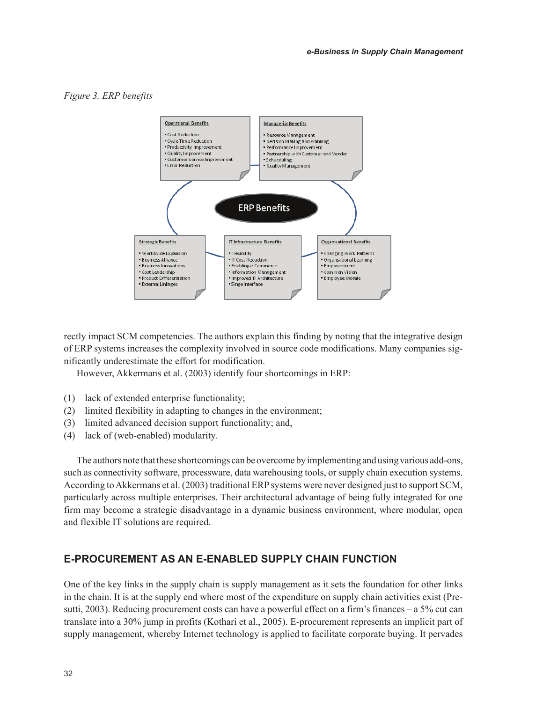*Figure 3. ERP benefits*



rectly impact SCM competencies. The authors explain this finding by noting that the integrative design of ERP systems increases the complexity involved in source code modifications. Many companies significantly underestimate the effort for modification.

However, Akkermans et al. (2003) identify four shortcomings in ERP:

- (1) lack of extended enterprise functionality;
- (2) limited flexibility in adapting to changes in the environment;
- (3) limited advanced decision support functionality; and,
- (4) lack of (web-enabled) modularity.

The authors note that these shortcomings can be overcome by implementing and using various add-ons, such as connectivity software, processware, data warehousing tools, or supply chain execution systems. According to Akkermans et al. (2003) traditional ERP systems were never designed just to support SCM, particularly across multiple enterprises. Their architectural advantage of being fully integrated for one firm may become a strategic disadvantage in a dynamic business environment, where modular, open and flexible IT solutions are required.

#### **E-PROCUREMENT AS AN E-ENABLED SUPPLY CHAIN FUNCTION**

One of the key links in the supply chain is supply management as it sets the foundation for other links in the chain. It is at the supply end where most of the expenditure on supply chain activities exist (Presutti, 2003). Reducing procurement costs can have a powerful effect on a firm's finances – a 5% cut can translate into a 30% jump in profits (Kothari et al., 2005). E-procurement represents an implicit part of supply management, whereby Internet technology is applied to facilitate corporate buying. It pervades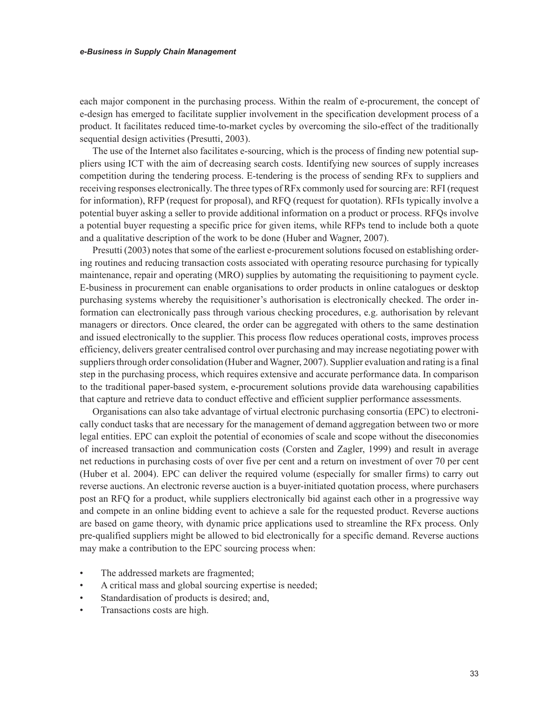each major component in the purchasing process. Within the realm of e-procurement, the concept of e-design has emerged to facilitate supplier involvement in the specification development process of a product. It facilitates reduced time-to-market cycles by overcoming the silo-effect of the traditionally sequential design activities (Presutti, 2003).

The use of the Internet also facilitates e-sourcing, which is the process of finding new potential suppliers using ICT with the aim of decreasing search costs. Identifying new sources of supply increases competition during the tendering process. E-tendering is the process of sending RFx to suppliers and receiving responses electronically. The three types of RFx commonly used for sourcing are: RFI (request for information), RFP (request for proposal), and RFQ (request for quotation). RFIs typically involve a potential buyer asking a seller to provide additional information on a product or process. RFQs involve a potential buyer requesting a specific price for given items, while RFPs tend to include both a quote and a qualitative description of the work to be done (Huber and Wagner, 2007).

Presutti (2003) notes that some of the earliest e-procurement solutions focused on establishing ordering routines and reducing transaction costs associated with operating resource purchasing for typically maintenance, repair and operating (MRO) supplies by automating the requisitioning to payment cycle. E-business in procurement can enable organisations to order products in online catalogues or desktop purchasing systems whereby the requisitioner's authorisation is electronically checked. The order information can electronically pass through various checking procedures, e.g. authorisation by relevant managers or directors. Once cleared, the order can be aggregated with others to the same destination and issued electronically to the supplier. This process flow reduces operational costs, improves process efficiency, delivers greater centralised control over purchasing and may increase negotiating power with suppliers through order consolidation (Huber and Wagner, 2007). Supplier evaluation and rating is a final step in the purchasing process, which requires extensive and accurate performance data. In comparison to the traditional paper-based system, e-procurement solutions provide data warehousing capabilities that capture and retrieve data to conduct effective and efficient supplier performance assessments.

Organisations can also take advantage of virtual electronic purchasing consortia (EPC) to electronically conduct tasks that are necessary for the management of demand aggregation between two or more legal entities. EPC can exploit the potential of economies of scale and scope without the diseconomies of increased transaction and communication costs (Corsten and Zagler, 1999) and result in average net reductions in purchasing costs of over five per cent and a return on investment of over 70 per cent (Huber et al. 2004). EPC can deliver the required volume (especially for smaller firms) to carry out reverse auctions. An electronic reverse auction is a buyer-initiated quotation process, where purchasers post an RFQ for a product, while suppliers electronically bid against each other in a progressive way and compete in an online bidding event to achieve a sale for the requested product. Reverse auctions are based on game theory, with dynamic price applications used to streamline the RFx process. Only pre-qualified suppliers might be allowed to bid electronically for a specific demand. Reverse auctions may make a contribution to the EPC sourcing process when:

- The addressed markets are fragmented;
- A critical mass and global sourcing expertise is needed;
- Standardisation of products is desired; and,
- Transactions costs are high.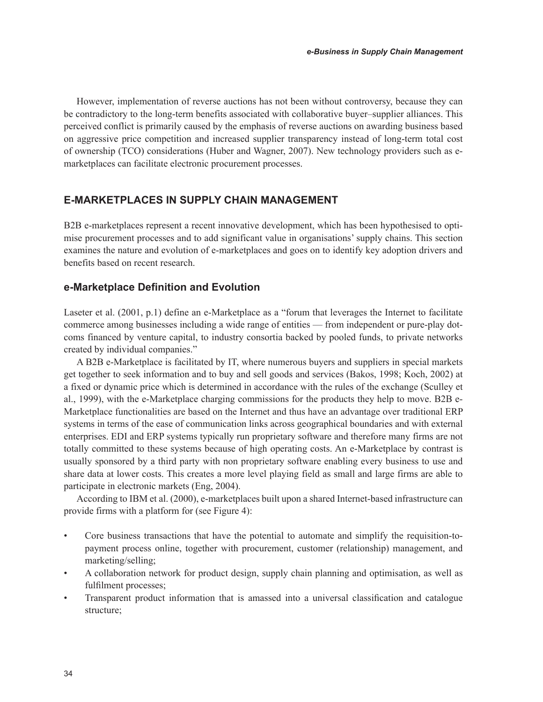However, implementation of reverse auctions has not been without controversy, because they can be contradictory to the long-term benefits associated with collaborative buyer–supplier alliances. This perceived conflict is primarily caused by the emphasis of reverse auctions on awarding business based on aggressive price competition and increased supplier transparency instead of long-term total cost of ownership (TCO) considerations (Huber and Wagner, 2007). New technology providers such as emarketplaces can facilitate electronic procurement processes.

## **E-MARKETPLACES IN SUPPLY CHAIN MANAGEMENT**

B2B e-marketplaces represent a recent innovative development, which has been hypothesised to optimise procurement processes and to add significant value in organisations' supply chains. This section examines the nature and evolution of e-marketplaces and goes on to identify key adoption drivers and benefits based on recent research.

## **e-Marketplace Definition and Evolution**

Laseter et al. (2001, p.1) define an e-Marketplace as a "forum that leverages the Internet to facilitate commerce among businesses including a wide range of entities — from independent or pure-play dotcoms financed by venture capital, to industry consortia backed by pooled funds, to private networks created by individual companies."

A B2B e-Marketplace is facilitated by IT, where numerous buyers and suppliers in special markets get together to seek information and to buy and sell goods and services (Bakos, 1998; Koch, 2002) at a fixed or dynamic price which is determined in accordance with the rules of the exchange (Sculley et al., 1999), with the e-Marketplace charging commissions for the products they help to move. B2B e-Marketplace functionalities are based on the Internet and thus have an advantage over traditional ERP systems in terms of the ease of communication links across geographical boundaries and with external enterprises. EDI and ERP systems typically run proprietary software and therefore many firms are not totally committed to these systems because of high operating costs. An e-Marketplace by contrast is usually sponsored by a third party with non proprietary software enabling every business to use and share data at lower costs. This creates a more level playing field as small and large firms are able to participate in electronic markets (Eng, 2004).

According to IBM et al. (2000), e-marketplaces built upon a shared Internet-based infrastructure can provide firms with a platform for (see Figure 4):

- Core business transactions that have the potential to automate and simplify the requisition-topayment process online, together with procurement, customer (relationship) management, and marketing/selling;
- A collaboration network for product design, supply chain planning and optimisation, as well as fulfilment processes;
- Transparent product information that is amassed into a universal classification and catalogue structure;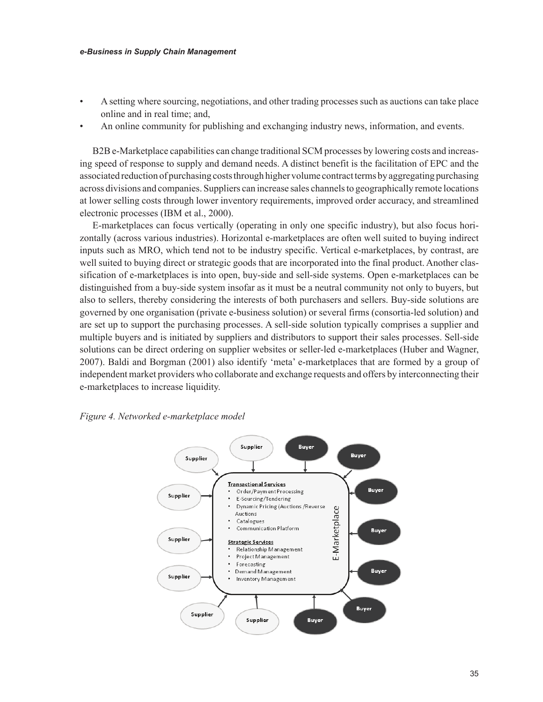#### *e-Business in Supply Chain Management*

- A setting where sourcing, negotiations, and other trading processes such as auctions can take place online and in real time; and,
- An online community for publishing and exchanging industry news, information, and events.

B2B e-Marketplace capabilities can change traditional SCM processes by lowering costs and increasing speed of response to supply and demand needs. A distinct benefit is the facilitation of EPC and the associated reduction of purchasing costs through higher volume contract terms by aggregating purchasing across divisions and companies. Suppliers can increase sales channels to geographically remote locations at lower selling costs through lower inventory requirements, improved order accuracy, and streamlined electronic processes (IBM et al., 2000).

E-marketplaces can focus vertically (operating in only one specific industry), but also focus horizontally (across various industries). Horizontal e-marketplaces are often well suited to buying indirect inputs such as MRO, which tend not to be industry specific. Vertical e-marketplaces, by contrast, are well suited to buying direct or strategic goods that are incorporated into the final product. Another classification of e-marketplaces is into open, buy-side and sell-side systems. Open e-marketplaces can be distinguished from a buy-side system insofar as it must be a neutral community not only to buyers, but also to sellers, thereby considering the interests of both purchasers and sellers. Buy-side solutions are governed by one organisation (private e-business solution) or several firms (consortia-led solution) and are set up to support the purchasing processes. A sell-side solution typically comprises a supplier and multiple buyers and is initiated by suppliers and distributors to support their sales processes. Sell-side solutions can be direct ordering on supplier websites or seller-led e-marketplaces (Huber and Wagner, 2007). Baldi and Borgman (2001) also identify 'meta' e-marketplaces that are formed by a group of independent market providers who collaborate and exchange requests and offers by interconnecting their e-marketplaces to increase liquidity.



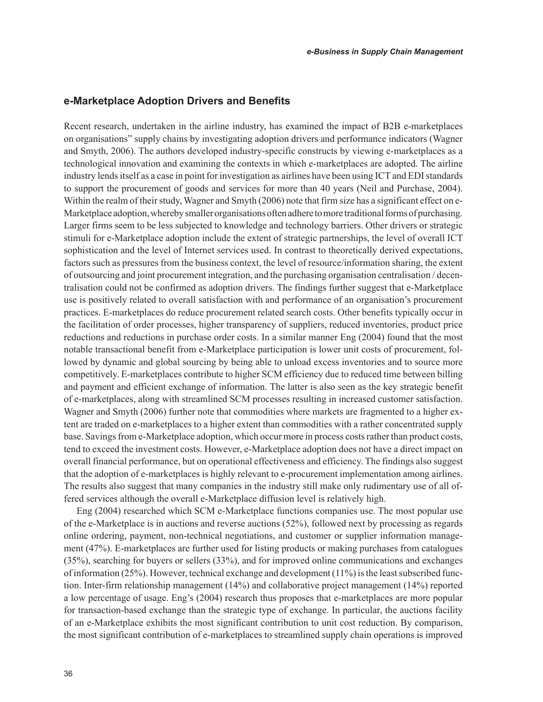#### **e-Marketplace Adoption Drivers and Benefits**

Recent research, undertaken in the airline industry, has examined the impact of B2B e-marketplaces on organisations" supply chains by investigating adoption drivers and performance indicators (Wagner and Smyth, 2006). The authors developed industry-specific constructs by viewing e-marketplaces as a technological innovation and examining the contexts in which e-marketplaces are adopted. The airline industry lends itself as a case in point for investigation as airlines have been using ICT and EDI standards to support the procurement of goods and services for more than 40 years (Neil and Purchase, 2004). Within the realm of their study, Wagner and Smyth (2006) note that firm size has a significant effect on e-Marketplace adoption, whereby smaller organisations often adhere to more traditional forms of purchasing. Larger firms seem to be less subjected to knowledge and technology barriers. Other drivers or strategic stimuli for e-Marketplace adoption include the extent of strategic partnerships, the level of overall ICT sophistication and the level of Internet services used. In contrast to theoretically derived expectations, factors such as pressures from the business context, the level of resource/information sharing, the extent of outsourcing and joint procurement integration, and the purchasing organisation centralisation / decentralisation could not be confirmed as adoption drivers. The findings further suggest that e-Marketplace use is positively related to overall satisfaction with and performance of an organisation's procurement practices. E-marketplaces do reduce procurement related search costs. Other benefits typically occur in the facilitation of order processes, higher transparency of suppliers, reduced inventories, product price reductions and reductions in purchase order costs. In a similar manner Eng (2004) found that the most notable transactional benefit from e-Marketplace participation is lower unit costs of procurement, followed by dynamic and global sourcing by being able to unload excess inventories and to source more competitively. E-marketplaces contribute to higher SCM efficiency due to reduced time between billing and payment and efficient exchange of information. The latter is also seen as the key strategic benefit of e-marketplaces, along with streamlined SCM processes resulting in increased customer satisfaction. Wagner and Smyth (2006) further note that commodities where markets are fragmented to a higher extent are traded on e-marketplaces to a higher extent than commodities with a rather concentrated supply base. Savings from e-Marketplace adoption, which occur more in process costs rather than product costs, tend to exceed the investment costs. However, e-Marketplace adoption does not have a direct impact on overall financial performance, but on operational effectiveness and efficiency. The findings also suggest that the adoption of e-marketplaces is highly relevant to e-procurement implementation among airlines. The results also suggest that many companies in the industry still make only rudimentary use of all offered services although the overall e-Marketplace diffusion level is relatively high.

Eng (2004) researched which SCM e-Marketplace functions companies use. The most popular use of the e-Marketplace is in auctions and reverse auctions (52%), followed next by processing as regards online ordering, payment, non-technical negotiations, and customer or supplier information management (47%). E-marketplaces are further used for listing products or making purchases from catalogues (35%), searching for buyers or sellers (33%), and for improved online communications and exchanges of information (25%). However, technical exchange and development (11%) is the least subscribed function. Inter-firm relationship management (14%) and collaborative project management (14%) reported a low percentage of usage. Eng's (2004) research thus proposes that e-marketplaces are more popular for transaction-based exchange than the strategic type of exchange. In particular, the auctions facility of an e-Marketplace exhibits the most significant contribution to unit cost reduction. By comparison, the most significant contribution of e-marketplaces to streamlined supply chain operations is improved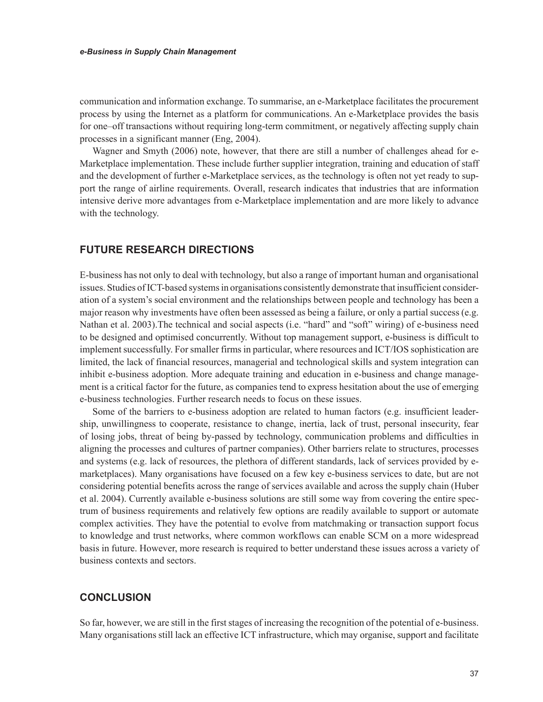communication and information exchange. To summarise, an e-Marketplace facilitates the procurement process by using the Internet as a platform for communications. An e-Marketplace provides the basis for one–off transactions without requiring long-term commitment, or negatively affecting supply chain processes in a significant manner (Eng, 2004).

Wagner and Smyth (2006) note, however, that there are still a number of challenges ahead for e-Marketplace implementation. These include further supplier integration, training and education of staff and the development of further e-Marketplace services, as the technology is often not yet ready to support the range of airline requirements. Overall, research indicates that industries that are information intensive derive more advantages from e-Marketplace implementation and are more likely to advance with the technology.

## **FUTURE RESEARCH DIRECTIONS**

E-business has not only to deal with technology, but also a range of important human and organisational issues. Studies of ICT-based systems in organisations consistently demonstrate that insufficient consideration of a system's social environment and the relationships between people and technology has been a major reason why investments have often been assessed as being a failure, or only a partial success (e.g. Nathan et al. 2003).The technical and social aspects (i.e. "hard" and "soft" wiring) of e-business need to be designed and optimised concurrently. Without top management support, e-business is difficult to implement successfully. For smaller firms in particular, where resources and ICT/IOS sophistication are limited, the lack of financial resources, managerial and technological skills and system integration can inhibit e-business adoption. More adequate training and education in e-business and change management is a critical factor for the future, as companies tend to express hesitation about the use of emerging e-business technologies. Further research needs to focus on these issues.

Some of the barriers to e-business adoption are related to human factors (e.g. insufficient leadership, unwillingness to cooperate, resistance to change, inertia, lack of trust, personal insecurity, fear of losing jobs, threat of being by-passed by technology, communication problems and difficulties in aligning the processes and cultures of partner companies). Other barriers relate to structures, processes and systems (e.g. lack of resources, the plethora of different standards, lack of services provided by emarketplaces). Many organisations have focused on a few key e-business services to date, but are not considering potential benefits across the range of services available and across the supply chain (Huber et al. 2004). Currently available e-business solutions are still some way from covering the entire spectrum of business requirements and relatively few options are readily available to support or automate complex activities. They have the potential to evolve from matchmaking or transaction support focus to knowledge and trust networks, where common workflows can enable SCM on a more widespread basis in future. However, more research is required to better understand these issues across a variety of business contexts and sectors.

## **Conclusion**

So far, however, we are still in the first stages of increasing the recognition of the potential of e-business. Many organisations still lack an effective ICT infrastructure, which may organise, support and facilitate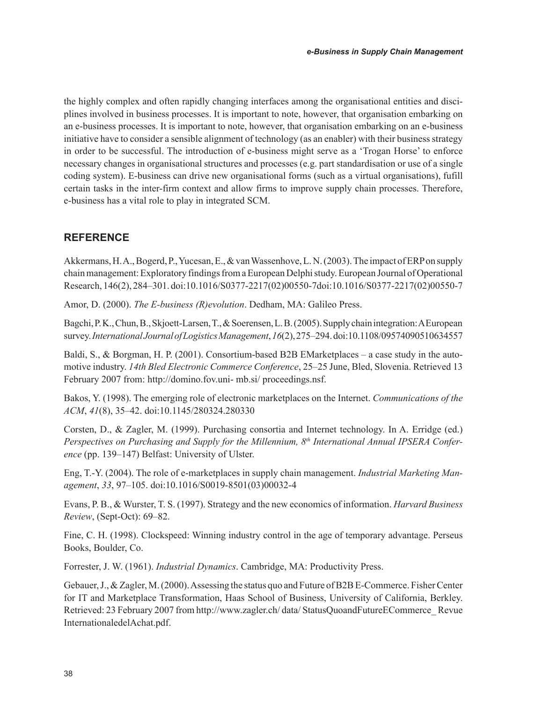the highly complex and often rapidly changing interfaces among the organisational entities and disciplines involved in business processes. It is important to note, however, that organisation embarking on an e-business processes. It is important to note, however, that organisation embarking on an e-business initiative have to consider a sensible alignment of technology (as an enabler) with their business strategy in order to be successful. The introduction of e-business might serve as a 'Trogan Horse' to enforce necessary changes in organisational structures and processes (e.g. part standardisation or use of a single coding system). E-business can drive new organisational forms (such as a virtual organisations), fufill certain tasks in the inter-firm context and allow firms to improve supply chain processes. Therefore, e-business has a vital role to play in integrated SCM.

# **REFERENCE**

Akkermans, H. A., Bogerd, P., Yucesan, E., & van Wassenhove, L. N. (2003). The impact of ERP on supply chain management: Exploratory findings from a European Delphi study. European Journal of Operational Research, 146(2), 284–301. doi:10.1016/S0377-2217(02)00550-7doi:10.1016/S0377-2217(02)00550-7

Amor, D. (2000). *The E-business (R)evolution*. Dedham, MA: Galileo Press.

Bagchi, P. K., Chun, B., Skjoett-Larsen, T., & Soerensen, L. B. (2005). Supply chain integration: A European survey. *International Journal of Logistics Management*, *16*(2), 275–294. doi:10.1108/09574090510634557

Baldi, S., & Borgman, H. P. (2001). Consortium-based B2B EMarketplaces – a case study in the automotive industry. *14th Bled Electronic Commerce Conference*, 25–25 June, Bled, Slovenia. Retrieved 13 February 2007 from: http://domino.fov.uni- mb.si/ proceedings.nsf.

Bakos, Y. (1998). The emerging role of electronic marketplaces on the Internet. *Communications of the ACM*, *41*(8), 35–42. doi:10.1145/280324.280330

Corsten, D., & Zagler, M. (1999). Purchasing consortia and Internet technology. In A. Erridge (ed.) *Perspectives on Purchasing and Supply for the Millennium, 8th International Annual IPSERA Conference* (pp. 139–147) Belfast: University of Ulster.

Eng, T.-Y. (2004). The role of e-marketplaces in supply chain management. *Industrial Marketing Management*, *33*, 97–105. doi:10.1016/S0019-8501(03)00032-4

Evans, P. B., & Wurster, T. S. (1997). Strategy and the new economics of information. *Harvard Business Review*, (Sept-Oct): 69–82.

Fine, C. H. (1998). Clockspeed: Winning industry control in the age of temporary advantage. Perseus Books, Boulder, Co.

Forrester, J. W. (1961). *Industrial Dynamics*. Cambridge, MA: Productivity Press.

Gebauer, J., & Zagler, M. (2000). Assessing the status quo and Future of B2B E-Commerce. Fisher Center for IT and Marketplace Transformation, Haas School of Business, University of California, Berkley. Retrieved: 23 February 2007 from http://www.zagler.ch/ data/ StatusQuoandFutureECommerce\_ Revue InternationaledelAchat.pdf.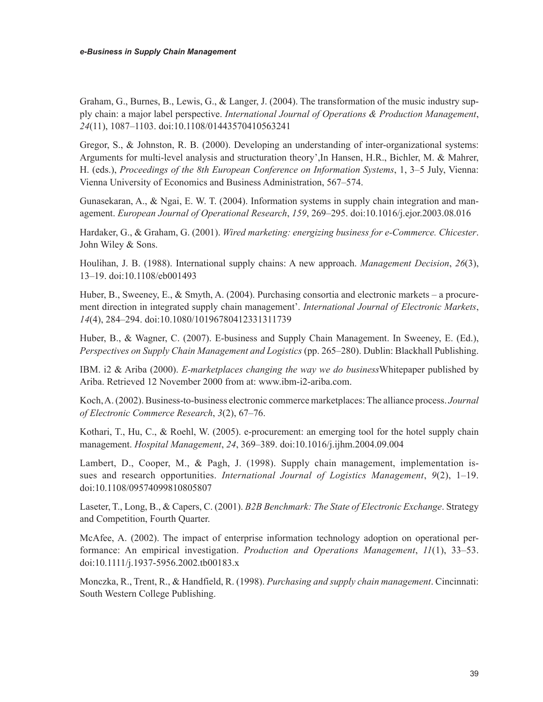Graham, G., Burnes, B., Lewis, G., & Langer, J. (2004). The transformation of the music industry supply chain: a major label perspective. *International Journal of Operations & Production Management*, *24*(11), 1087–1103. doi:10.1108/01443570410563241

Gregor, S., & Johnston, R. B. (2000). Developing an understanding of inter-organizational systems: Arguments for multi-level analysis and structuration theory',In Hansen, H.R., Bichler, M. & Mahrer, H. (eds.), *Proceedings of the 8th European Conference on Information Systems*, 1, 3–5 July, Vienna: Vienna University of Economics and Business Administration, 567–574.

Gunasekaran, A., & Ngai, E. W. T. (2004). Information systems in supply chain integration and management. *European Journal of Operational Research*, *159*, 269–295. doi:10.1016/j.ejor.2003.08.016

Hardaker, G., & Graham, G. (2001). *Wired marketing: energizing business for e-Commerce. Chicester*. John Wiley & Sons.

Houlihan, J. B. (1988). International supply chains: A new approach. *Management Decision*, *26*(3), 13–19. doi:10.1108/eb001493

Huber, B., Sweeney, E., & Smyth, A. (2004). Purchasing consortia and electronic markets – a procurement direction in integrated supply chain management'. *International Journal of Electronic Markets*, *14*(4), 284–294. doi:10.1080/10196780412331311739

Huber, B., & Wagner, C. (2007). E-business and Supply Chain Management. In Sweeney, E. (Ed.), *Perspectives on Supply Chain Management and Logistics* (pp. 265–280). Dublin: Blackhall Publishing.

IBM. i2 & Ariba (2000). *E-marketplaces changing the way we do business*Whitepaper published by Ariba. Retrieved 12 November 2000 from at: www.ibm-i2-ariba.com.

Koch, A. (2002). Business-to-business electronic commerce marketplaces: The alliance process. *Journal of Electronic Commerce Research*, *3*(2), 67–76.

Kothari, T., Hu, C., & Roehl, W. (2005). e-procurement: an emerging tool for the hotel supply chain management. *Hospital Management*, *24*, 369–389. doi:10.1016/j.ijhm.2004.09.004

Lambert, D., Cooper, M., & Pagh, J. (1998). Supply chain management, implementation issues and research opportunities. *International Journal of Logistics Management*, *9*(2), 1–19. doi:10.1108/09574099810805807

Laseter, T., Long, B., & Capers, C. (2001). *B2B Benchmark: The State of Electronic Exchange*. Strategy and Competition, Fourth Quarter.

McAfee, A. (2002). The impact of enterprise information technology adoption on operational performance: An empirical investigation. *Production and Operations Management*, *11*(1), 33–53. doi:10.1111/j.1937-5956.2002.tb00183.x

Monczka, R., Trent, R., & Handfield, R. (1998). *Purchasing and supply chain management*. Cincinnati: South Western College Publishing.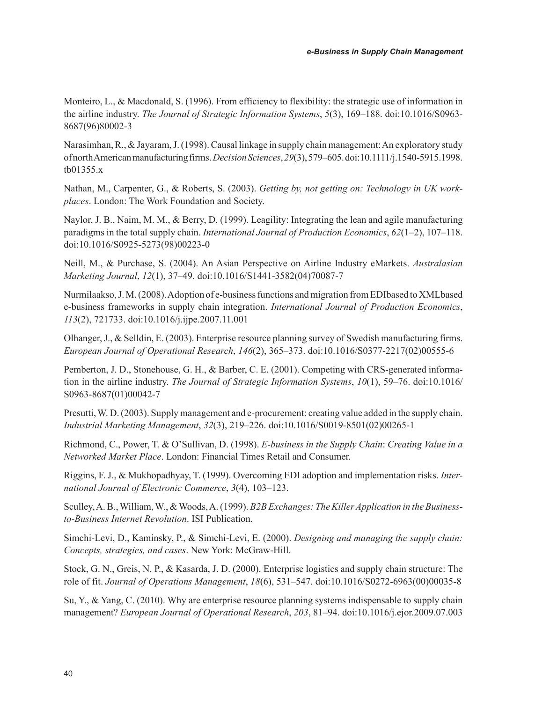Monteiro, L., & Macdonald, S. (1996). From efficiency to flexibility: the strategic use of information in the airline industry. *The Journal of Strategic Information Systems*, *5*(3), 169–188. doi:10.1016/S0963- 8687(96)80002-3

Narasimhan, R., & Jayaram, J. (1998). Causal linkage in supply chain management: An exploratory study of north American manufacturing firms. *Decision Sciences*, *29*(3), 579–605. doi:10.1111/j.1540-5915.1998. tb01355.x

Nathan, M., Carpenter, G., & Roberts, S. (2003). *Getting by, not getting on: Technology in UK workplaces*. London: The Work Foundation and Society.

Naylor, J. B., Naim, M. M., & Berry, D. (1999). Leagility: Integrating the lean and agile manufacturing paradigms in the total supply chain. *International Journal of Production Economics*, *62*(1–2), 107–118. doi:10.1016/S0925-5273(98)00223-0

Neill, M., & Purchase, S. (2004). An Asian Perspective on Airline Industry eMarkets. *Australasian Marketing Journal*, *12*(1), 37–49. doi:10.1016/S1441-3582(04)70087-7

Nurmilaakso, J. M. (2008). Adoption of e-business functions and migration from EDIbased to XMLbased e-business frameworks in supply chain integration. *International Journal of Production Economics*, *113*(2), 721733. doi:10.1016/j.ijpe.2007.11.001

Olhanger, J., & Selldin, E. (2003). Enterprise resource planning survey of Swedish manufacturing firms. *European Journal of Operational Research*, *146*(2), 365–373. doi:10.1016/S0377-2217(02)00555-6

Pemberton, J. D., Stonehouse, G. H., & Barber, C. E. (2001). Competing with CRS-generated information in the airline industry. *The Journal of Strategic Information Systems*, *10*(1), 59–76. doi:10.1016/ S0963-8687(01)00042-7

Presutti, W. D. (2003). Supply management and e-procurement: creating value added in the supply chain. *Industrial Marketing Management*, *32*(3), 219–226. doi:10.1016/S0019-8501(02)00265-1

Richmond, C., Power, T. & O'Sullivan, D. (1998). *E-business in the Supply Chain*: *Creating Value in a Networked Market Place*. London: Financial Times Retail and Consumer.

Riggins, F. J., & Mukhopadhyay, T. (1999). Overcoming EDI adoption and implementation risks. *International Journal of Electronic Commerce*, *3*(4), 103–123.

Sculley, A. B., William, W., & Woods, A. (1999). *B2B Exchanges: The Killer Application in the Businessto-Business Internet Revolution*. ISI Publication.

Simchi-Levi, D., Kaminsky, P., & Simchi-Levi, E. (2000). *Designing and managing the supply chain: Concepts, strategies, and cases*. New York: McGraw-Hill.

Stock, G. N., Greis, N. P., & Kasarda, J. D. (2000). Enterprise logistics and supply chain structure: The role of fit. *Journal of Operations Management*, *18*(6), 531–547. doi:10.1016/S0272-6963(00)00035-8

Su, Y., & Yang, C. (2010). Why are enterprise resource planning systems indispensable to supply chain management? *European Journal of Operational Research*, *203*, 81–94. doi:10.1016/j.ejor.2009.07.003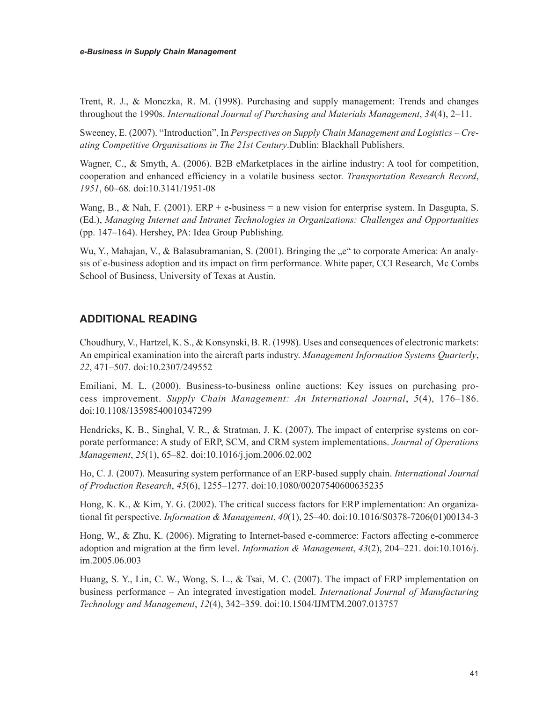Trent, R. J., & Monczka, R. M. (1998). Purchasing and supply management: Trends and changes throughout the 1990s. *International Journal of Purchasing and Materials Management*, *34*(4), 2–11.

Sweeney, E. (2007). "Introduction", In *Perspectives on Supply Chain Management and Logistics – Creating Competitive Organisations in The 21st Century*.Dublin: Blackhall Publishers.

Wagner, C., & Smyth, A. (2006). B2B eMarketplaces in the airline industry: A tool for competition, cooperation and enhanced efficiency in a volatile business sector. *Transportation Research Record*, *1951*, 60–68. doi:10.3141/1951-08

Wang, B., & Nah, F. (2001). ERP + e-business = a new vision for enterprise system. In Dasgupta, S. (Ed.), *Managing Internet and Intranet Technologies in Organizations: Challenges and Opportunities* (pp. 147–164). Hershey, PA: Idea Group Publishing.

Wu, Y., Mahajan, V., & Balasubramanian, S. (2001). Bringing the  $\mathcal{C}^{\text{e}}$  to corporate America: An analysis of e-business adoption and its impact on firm performance. White paper, CCI Research, Mc Combs School of Business, University of Texas at Austin.

## **ADDITIONAL READING**

Choudhury, V., Hartzel, K. S., & Konsynski, B. R. (1998). Uses and consequences of electronic markets: An empirical examination into the aircraft parts industry. *Management Information Systems Quarterly*, *22*, 471–507. doi:10.2307/249552

Emiliani, M. L. (2000). Business-to-business online auctions: Key issues on purchasing process improvement. *Supply Chain Management: An International Journal*, *5*(4), 176–186. doi:10.1108/13598540010347299

Hendricks, K. B., Singhal, V. R., & Stratman, J. K. (2007). The impact of enterprise systems on corporate performance: A study of ERP, SCM, and CRM system implementations. *Journal of Operations Management*, *25*(1), 65–82. doi:10.1016/j.jom.2006.02.002

Ho, C. J. (2007). Measuring system performance of an ERP-based supply chain. *International Journal of Production Research*, *45*(6), 1255–1277. doi:10.1080/00207540600635235

Hong, K. K., & Kim, Y. G. (2002). The critical success factors for ERP implementation: An organizational fit perspective. *Information & Management*, *40*(1), 25–40. doi:10.1016/S0378-7206(01)00134-3

Hong, W., & Zhu, K. (2006). Migrating to Internet-based e-commerce: Factors affecting e-commerce adoption and migration at the firm level. *Information & Management*, *43*(2), 204–221. doi:10.1016/j. im.2005.06.003

Huang, S. Y., Lin, C. W., Wong, S. L., & Tsai, M. C. (2007). The impact of ERP implementation on business performance – An integrated investigation model. *International Journal of Manufacturing Technology and Management*, *12*(4), 342–359. doi:10.1504/IJMTM.2007.013757